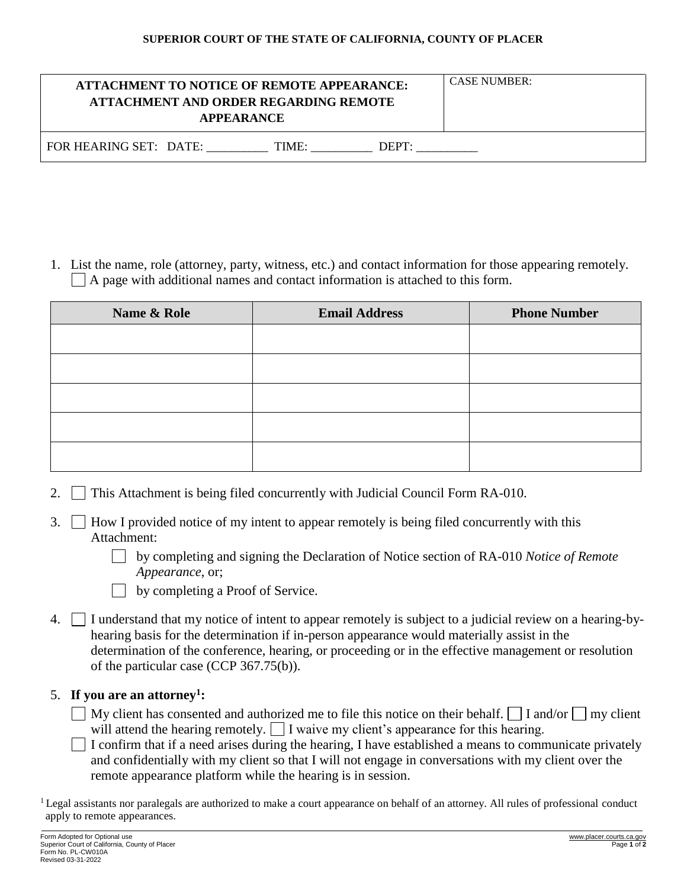## **SUPERIOR COURT OF THE STATE OF CALIFORNIA, COUNTY OF PLACER**

| <b>ATTACHMENT TO NOTICE OF REMOTE APPEARANCE:</b><br><b>ATTACHMENT AND ORDER REGARDING REMOTE</b><br><b>APPEARANCE</b> | <b>CASE NUMBER:</b> |
|------------------------------------------------------------------------------------------------------------------------|---------------------|
| FOR HEARING SET: DATE:<br>TIME∙<br>DEFF                                                                                |                     |

1. List the name, role (attorney, party, witness, etc.) and contact information for those appearing remotely.  $\Box$  A page with additional names and contact information is attached to this form.

| Name & Role | <b>Email Address</b> | <b>Phone Number</b> |
|-------------|----------------------|---------------------|
|             |                      |                     |
|             |                      |                     |
|             |                      |                     |
|             |                      |                     |
|             |                      |                     |

- 2.  $\Box$  This Attachment is being filed concurrently with Judicial Council Form RA-010.
- 3. How I provided notice of my intent to appear remotely is being filed concurrently with this Attachment:

by completing and signing the Declaration of Notice section of RA-010 *Notice of Remote Appearance*, or;

- by completing a Proof of Service.
- 4.  $\Box$  I understand that my notice of intent to appear remotely is subject to a judicial review on a hearing-byhearing basis for the determination if in-person appearance would materially assist in the determination of the conference, hearing, or proceeding or in the effective management or resolution of the particular case (CCP 367.75(b)).

## 5. **If you are an attorney<sup>1</sup> :**

 $\Box$  My client has consented and authorized me to file this notice on their behalf.  $\Box$  I and/or  $\Box$  my client will attend the hearing remotely.  $\Box$  I waive my client's appearance for this hearing.

 $\Box$ I confirm that if a need arises during the hearing, I have established a means to communicate privately and confidentially with my client so that I will not engage in conversations with my client over the remote appearance platform while the hearing is in session.

<sup>1</sup> Legal assistants nor paralegals are authorized to make a court appearance on behalf of an attorney. All rules of professional conduct apply to remote appearances.